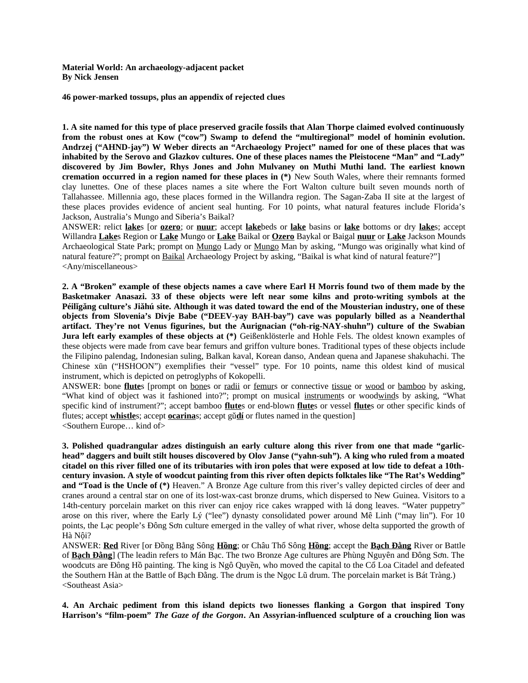**Material World: An archaeology-adjacent packet By Nick Jensen**

**46 power-marked tossups, plus an appendix of rejected clues**

**1. A site named for this type of place preserved gracile fossils that Alan Thorpe claimed evolved continuously from the robust ones at Kow ("cow") Swamp to defend the "multiregional" model of hominin evolution. Andrzej ("AHND-jay") W Weber directs an "Archaeology Project" named for one of these places that was inhabited by the Serovo and Glazkov cultures. One of these places names the Pleistocene "Man" and "Lady" discovered by Jim Bowler, Rhys Jones and John Mulvaney on Muthi Muthi land. The earliest known cremation occurred in a region named for these places in (\*)** New South Wales, where their remnants formed clay lunettes. One of these places names a site where the Fort Walton culture built seven mounds north of Tallahassee. Millennia ago, these places formed in the Willandra region. The Sagan-Zaba II site at the largest of these places provides evidence of ancient seal hunting. For 10 points, what natural features include Florida's Jackson, Australia's Mungo and Siberia's Baikal?

ANSWER: relict **lake**s [or **ozero**; or **nuur**; accept **lake**beds or **lake** basins or **lake** bottoms or dry **lake**s; accept Willandra **Lake**s Region or **Lake** Mungo or **Lake** Baikal or **Ozero** Baykal or Baigal **nuur** or **Lake** Jackson Mounds Archaeological State Park; prompt on Mungo Lady or Mungo Man by asking, "Mungo was originally what kind of natural feature?"; prompt on Baikal Archaeology Project by asking, "Baikal is what kind of natural feature?"] <Any/miscellaneous>

**2. A "Broken" example of these objects names a cave where Earl H Morris found two of them made by the Basketmaker Anasazi. 33 of these objects were left near some kilns and proto-writing symbols at the Péilǐgǎng culture's Jiǎhú site. Although it was dated toward the end of the Mousterian industry, one of these objects from Slovenia's Divje Babe ("DEEV-yay BAH-bay") cave was popularly billed as a Neanderthal artifact. They're not Venus figurines, but the Aurignacian ("oh-rig-NAY-shuhn") culture of the Swabian Jura left early examples of these objects at (\*)** Geißenklösterle and Hohle Fels. The oldest known examples of these objects were made from cave bear femurs and griffon vulture bones. Traditional types of these objects include the Filipino palendag, Indonesian suling, Balkan kaval, Korean danso, Andean quena and Japanese shakuhachi. The Chinese xūn ("HSHOON") exemplifies their "vessel" type. For 10 points, name this oldest kind of musical instrument, which is depicted on petroglyphs of Kokopelli.

ANSWER: bone **flute**s [prompt on bones or radii or femurs or connective tissue or wood or bamboo by asking, "What kind of object was it fashioned into?"; prompt on musical instruments or woodwinds by asking, "What specific kind of instrument?"; accept bamboo **flute**s or end-blown **flute**s or vessel **flute**s or other specific kinds of flutes; accept **whistle**s; accept **ocarina**s; accept gǔ**dí** or flutes named in the question] <Southern Europe… kind of>

**3. Polished quadrangular adzes distinguish an early culture along this river from one that made "garlichead" daggers and built stilt houses discovered by Olov Janse ("yahn-suh"). A king who ruled from a moated citadel on this river filled one of its tributaries with iron poles that were exposed at low tide to defeat a 10thcentury invasion. A style of woodcut painting from this river often depicts folktales like "The Rat's Wedding" and "Toad is the Uncle of (\*)** Heaven." A Bronze Age culture from this river's valley depicted circles of deer and cranes around a central star on one of its lost-wax-cast bronze drums, which dispersed to New Guinea. Visitors to a 14th-century porcelain market on this river can enjoy rice cakes wrapped with lá dong leaves. "Water puppetry" arose on this river, where the Early Lý ("lee") dynasty consolidated power around Mê Linh ("may lin"). For 10 points, the Lạc people's Đông Sơn culture emerged in the valley of what river, whose delta supported the growth of Hà Nội?

ANSWER: **Red** River [or Đồng Bằng Sông **Hồng**; or Châu Thổ Sông **Hồng**; accept the **Bạch Đằng** River or Battle of **Bạch Đằng**] (The leadin refers to Mán Bạc. The two Bronze Age cultures are Phùng Nguyên and Đông Sơn. The woodcuts are Đông Hồ painting. The king is Ngô Quyền, who moved the capital to the Cổ Loa Citadel and defeated the Southern Hàn at the Battle of Bạch Đằng. The drum is the Ngọc Lũ drum. The porcelain market is Bát Tràng.) <Southeast Asia>

**4. An Archaic pediment from this island depicts two lionesses flanking a Gorgon that inspired Tony Harrison's "film-poem"** *The Gaze of the Gorgon***. An Assyrian-influenced sculpture of a crouching lion was**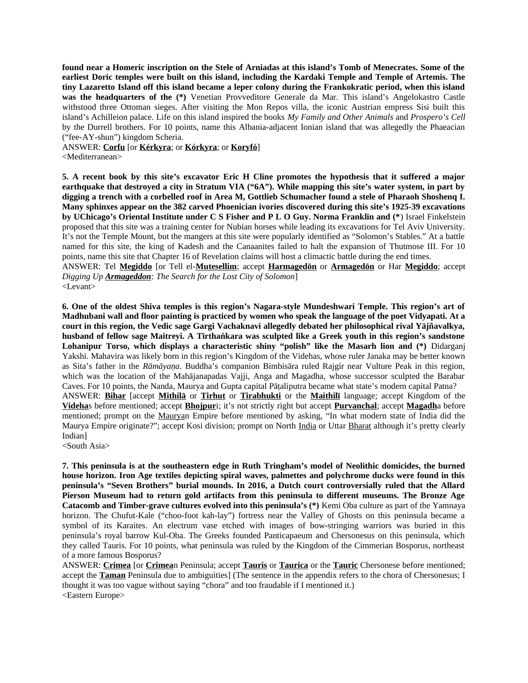**found near a Homeric inscription on the Stele of Arniadas at this island's Tomb of Menecrates. Some of the earliest Doric temples were built on this island, including the Kardaki Temple and Temple of Artemis. The tiny Lazaretto Island off this island became a leper colony during the Frankokratic period, when this island was the headquarters of the (\*)** Venetian Provveditore Generale da Mar. This island's Angelokastro Castle withstood three Ottoman sieges. After visiting the Mon Repos villa, the iconic Austrian empress Sisi built this island's Achilleion palace. Life on this island inspired the books *My Family and Other Animals* and *Prospero's Cell* by the Durrell brothers. For 10 points, name this Albania-adjacent Ionian island that was allegedly the Phaeacian ("fee-AY-shun") kingdom Scheria.

ANSWER: **Corfu** [or **Kérkyra**; or **Kórkyra**; or **Koryfó**] <Mediterranean>

**5. A recent book by this site's excavator Eric H Cline promotes the hypothesis that it suffered a major earthquake that destroyed a city in Stratum VIA ("6A"). While mapping this site's water system, in part by digging a trench with a corbelled roof in Area M, Gottlieb Schumacher found a stele of Pharaoh Shoshenq I. Many sphinxes appear on the 382 carved Phoenician ivories discovered during this site's 1925-39 excavations by UChicago's Oriental Institute under C S Fisher and P L O Guy. Norma Franklin and (\***) Israel Finkelstein proposed that this site was a training center for Nubian horses while leading its excavations for Tel Aviv University. It's not the Temple Mount, but the mangers at this site were popularly identified as "Solomon's Stables." At a battle named for this site, the king of Kadesh and the Canaanites failed to halt the expansion of Thutmose III. For 10 points, name this site that Chapter 16 of Revelation claims will host a climactic battle during the end times. ANSWER: Tel **Megiddo** [or Tell el-**Mutesellim**; accept **Harmagedōn** or **Armagedōn** or Har **Megiddo**; accept *Digging Up Armageddon: The Search for the Lost City of Solomon*]

<Levant>

**6. One of the oldest Shiva temples is this region's Nagara-style Mundeshwari Temple. This region's art of Madhubani wall and floor painting is practiced by women who speak the language of the poet Vidyapati. At a court in this region, the Vedic sage Gargi Vachaknavi allegedly debated her philosophical rival Yājñavalkya, husband of fellow sage Maitreyi. A Tīrthaṅkara was sculpted like a Greek youth in this region's sandstone Lohanipur Torso, which displays a characteristic shiny "polish" like the Masarh lion and (\*)** Didarganj Yakshi. Mahavira was likely born in this region's Kingdom of the Videhas, whose ruler Janaka may be better known as Sita's father in the *Rāmāyaṇa*. Buddha's companion Bimbisāra ruled Rajgir near Vulture Peak in this region, which was the location of the Mahājanapadas Vajji, Anga and Magadha, whose successor sculpted the Barabar Caves. For 10 points, the Nanda, Maurya and Gupta capital Pāṭaliputra became what state's modern capital Patna? ANSWER: **Bihar** [accept **Mithilā** or **Tirhut** or **Tirabhukti** or the **Maithilī** language; accept Kingdom of the **Videha**s before mentioned; accept **Bhojpur**i; it's not strictly right but accept **Purvanchal**; accept **Magadh**a before mentioned; prompt on the Mauryan Empire before mentioned by asking, "In what modern state of India did the Maurya Empire originate?"; accept Kosi division; prompt on North India or Uttar Bharat although it's pretty clearly Indian]

<South Asia>

**7. This peninsula is at the southeastern edge in Ruth Tringham's model of Neolithic domicides, the burned house horizon. Iron Age textiles depicting spiral waves, palmettes and polychrome ducks were found in this peninsula's "Seven Brothers" burial mounds. In 2016, a Dutch court controversially ruled that the Allard Pierson Museum had to return gold artifacts from this peninsula to different museums. The Bronze Age Catacomb and Timber-grave cultures evolved into this peninsula's (\*)** Kemi Oba culture as part of the Yamnaya horizon. The Chufut-Kale ("choo-foot kah-lay") fortress near the Valley of Ghosts on this peninsula became a symbol of its Karaites. An electrum vase etched with images of bow-stringing warriors was buried in this peninsula's royal barrow Kul-Oba. The Greeks founded Panticapaeum and Chersonesus on this peninsula, which they called Tauris. For 10 points, what peninsula was ruled by the Kingdom of the Cimmerian Bosporus, northeast of a more famous Bosporus?

ANSWER: **Crimea** [or **Crimea**n Peninsula; accept **Tauris** or **Taurica** or the **Tauric** Chersonese before mentioned; accept the **Taman** Peninsula due to ambiguities] (The sentence in the appendix refers to the chora of Chersonesus; I thought it was too vague without saying "chora" and too fraudable if I mentioned it.) <Eastern Europe>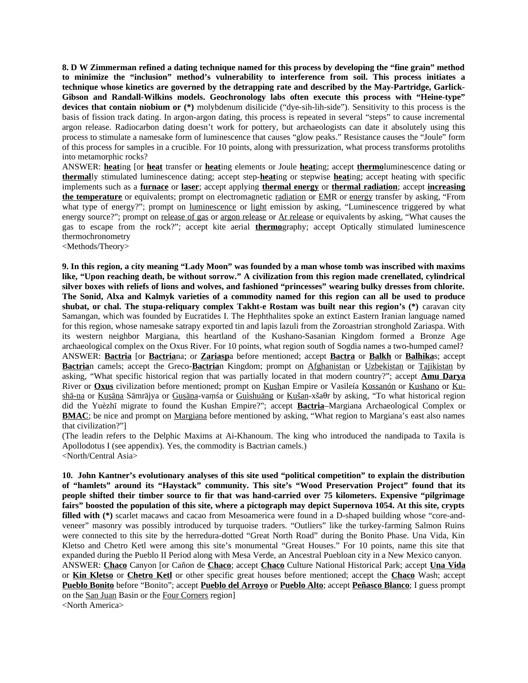**8. D W Zimmerman refined a dating technique named for this process by developing the "fine grain" method to minimize the "inclusion" method's vulnerability to interference from soil. This process initiates a technique whose kinetics are governed by the detrapping rate and described by the May-Partridge, Garlick-Gibson and Randall-Wilkins models. Geochronology labs often execute this process with "Heine-type" devices that contain niobium or (\*)** molybdenum disilicide ("dye-sih-lih-side"). Sensitivity to this process is the basis of fission track dating. In argon-argon dating, this process is repeated in several "steps" to cause incremental argon release. Radiocarbon dating doesn't work for pottery, but archaeologists can date it absolutely using this process to stimulate a namesake form of luminescence that causes "glow peaks." Resistance causes the "Joule" form of this process for samples in a crucible. For 10 points, along with pressurization, what process transforms protoliths into metamorphic rocks?

ANSWER: **heat**ing [or **heat** transfer or **heat**ing elements or Joule **heat**ing; accept **thermo**luminescence dating or **thermal**ly stimulated luminescence dating; accept step-**heat**ing or stepwise **heat**ing; accept heating with specific implements such as a **furnace** or **laser**; accept applying **thermal energy** or **thermal radiation**; accept **increasing the temperature** or equivalents; prompt on electromagnetic radiation or EMR or energy transfer by asking, "From what type of energy?"; prompt on luminescence or light emission by asking, "Luminescence triggered by what energy source?"; prompt on release of gas or argon release or Ar release or equivalents by asking, "What causes the gas to escape from the rock?"; accept kite aerial **thermo**graphy; accept Optically stimulated luminescence thermochronometry

<Methods/Theory>

**9. In this region, a city meaning "Lady Moon" was founded by a man whose tomb was inscribed with maxims like, "Upon reaching death, be without sorrow." A civilization from this region made crenellated, cylindrical silver boxes with reliefs of lions and wolves, and fashioned "princesses" wearing bulky dresses from chlorite. The Sonid, Alxa and Kalmyk varieties of a commodity named for this region can all be used to produce shubat, or chal. The stupa-reliquary complex Takht-e Rostam was built near this region's (\*)** caravan city Samangan, which was founded by Eucratides I. The Hephthalites spoke an extinct Eastern Iranian language named for this region, whose namesake satrapy exported tin and lapis lazuli from the Zoroastrian stronghold Zariaspa. With its western neighbor Margiana, this heartland of the Kushano-Sasanian Kingdom formed a Bronze Age archaeological complex on the Oxus River. For 10 points, what region south of Sogdia names a two-humped camel? ANSWER: **Bactria** [or **Bactria**na; or **Zariasp**a before mentioned; accept **Bactra** or **Balkh** or **Balhika**s; accept **Bactria**n camels; accept the Greco-**Bactria**n Kingdom; prompt on Afghanistan or Uzbekistan or Tajikistan by asking, "What specific historical region that was partially located in that modern country?"; accept **Amu Darya** River or **Oxus** civilization before mentioned; prompt on Kushan Empire or Vasileía Kossanón or Kushano or Kushā-na or Kuṣāṇa Sāmrājya or Guṣāṇa-vaṃśa or Guìshuāng or Kušan-xšaθr by asking, "To what historical region did the Yuèzhī migrate to found the Kushan Empire?"; accept **Bactria**–Margiana Archaeological Complex or **BMAC**; be nice and prompt on Margiana before mentioned by asking, "What region to Margiana's east also names that civilization?"]

(The leadin refers to the Delphic Maxims at Ai-Khanoum. The king who introduced the nandipada to Taxila is Apollodotus I (see appendix). Yes, the commodity is Bactrian camels.) <North/Central Asia>

**10. John Kantner's evolutionary analyses of this site used "political competition" to explain the distribution of "hamlets" around its "Haystack" community. This site's "Wood Preservation Project" found that its people shifted their timber source to fir that was hand-carried over 75 kilometers. Expensive "pilgrimage fairs" boosted the population of this site, where a pictograph may depict Supernova 1054. At this site, crypts filled with (\*)** scarlet macaws and cacao from Mesoamerica were found in a D-shaped building whose "core-andveneer" masonry was possibly introduced by turquoise traders. "Outliers" like the turkey-farming Salmon Ruins were connected to this site by the herredura-dotted "Great North Road" during the Bonito Phase. Una Vida, Kin Kletso and Chetro Ketl were among this site's monumental "Great Houses." For 10 points, name this site that expanded during the Pueblo II Period along with Mesa Verde, an Ancestral Puebloan city in a New Mexico canyon.

ANSWER: **Chaco** Canyon [or Cañon de **Chaco**; accept **Chaco** Culture National Historical Park; accept **Una Vida** or **Kin Kletso** or **Chetro Ketl** or other specific great houses before mentioned; accept the **Chaco** Wash; accept **Pueblo Bonito** before "Bonito"; accept **Pueblo del Arroyo** or **Pueblo Alto**; accept **Peñasco Blanco**; I guess prompt on the San Juan Basin or the Four Corners region]

<North America>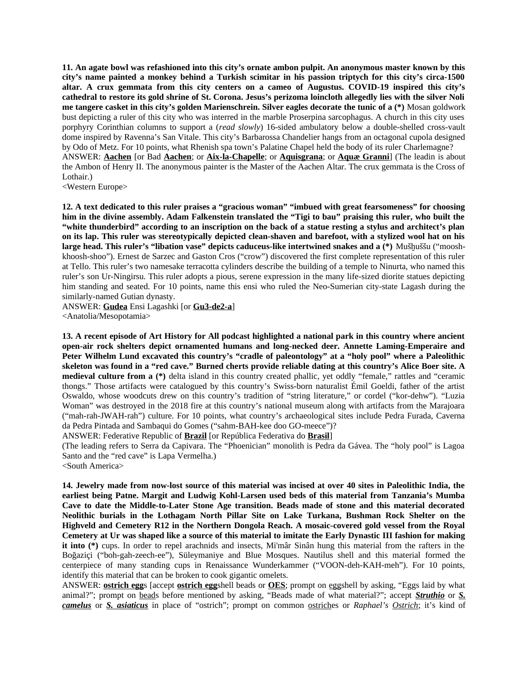**11. An agate bowl was refashioned into this city's ornate ambon pulpit. An anonymous master known by this city's name painted a monkey behind a Turkish scimitar in his passion triptych for this city's circa-1500 altar. A crux gemmata from this city centers on a cameo of Augustus. COVID-19 inspired this city's cathedral to restore its gold shrine of St. Corona. Jesus's perizoma loincloth allegedly lies with the silver Noli me tangere casket in this city's golden Marienschrein. Silver eagles decorate the tunic of a (\*)** Mosan goldwork bust depicting a ruler of this city who was interred in the marble Proserpina sarcophagus. A church in this city uses porphyry Corinthian columns to support a (*read slowly*) 16-sided ambulatory below a double-shelled cross-vault dome inspired by Ravenna's San Vitale. This city's Barbarossa Chandelier hangs from an octagonal cupola designed by Odo of Metz. For 10 points, what Rhenish spa town's Palatine Chapel held the body of its ruler Charlemagne? ANSWER: **Aachen** [or Bad **Aachen**; or **Aix-la-Chapelle**; or **Aquisgrana**; or **Aquæ Granni**] (The leadin is about the Ambon of Henry II. The anonymous painter is the Master of the Aachen Altar. The crux gemmata is the Cross of Lothair.)

<Western Europe>

**12. A text dedicated to this ruler praises a "gracious woman" "imbued with great fearsomeness" for choosing him in the divine assembly. Adam Falkenstein translated the "Tigi to bau" praising this ruler, who built the "white thunderbird" according to an inscription on the back of a statue resting a stylus and architect's plan on its lap. This ruler was stereotypically depicted clean-shaven and barefoot, with a stylized wool hat on his large head. This ruler's "libation vase" depicts caduceus-like intertwined snakes and a (\*)** Mušḫuššu ("mooshkhoosh-shoo"). Ernest de Sarzec and Gaston Cros ("crow") discovered the first complete representation of this ruler at Tello. This ruler's two namesake terracotta cylinders describe the building of a temple to Ninurta, who named this ruler's son Ur-Ningirsu. This ruler adopts a pious, serene expression in the many life-sized diorite statues depicting him standing and seated. For 10 points, name this ensi who ruled the Neo-Sumerian city-state Lagash during the similarly-named Gutian dynasty.

ANSWER: **Gudea** Ensi Lagashki [or **Gu3-de2-a**] <Anatolia/Mesopotamia>

**13. A recent episode of Art History for All podcast highlighted a national park in this country where ancient open-air rock shelters depict ornamented humans and long-necked deer. Annette Laming-Emperaire and Peter Wilhelm Lund excavated this country's "cradle of paleontology" at a "holy pool" where a Paleolithic skeleton was found in a "red cave." Burned cherts provide reliable dating at this country's Alice Boer site. A medieval culture from a (\*)** delta island in this country created phallic, yet oddly "female," rattles and "ceramic thongs." Those artifacts were catalogued by this country's Swiss-born naturalist Émil Goeldi, father of the artist Oswaldo, whose woodcuts drew on this country's tradition of "string literature," or cordel ("kor-dehw"). "Luzia Woman" was destroyed in the 2018 fire at this country's national museum along with artifacts from the Marajoara ("mah-rah-JWAH-rah") culture. For 10 points, what country's archaeological sites include Pedra Furada, Caverna da Pedra Pintada and Sambaqui do Gomes ("sahm-BAH-kee doo GO-meece")?

ANSWER: Federative Republic of **Brazil** [or República Federativa do **Brasil**]

(The leading refers to Serra da Capivara. The "Phoenician" monolith is Pedra da Gávea. The "holy pool" is Lagoa Santo and the "red cave" is Lapa Vermelha.)

<South America>

**14. Jewelry made from now-lost source of this material was incised at over 40 sites in Paleolithic India, the earliest being Patne. Margit and Ludwig Kohl-Larsen used beds of this material from Tanzania's Mumba Cave to date the Middle-to-Later Stone Age transition. Beads made of stone and this material decorated Neolithic burials in the Lothagam North Pillar Site on Lake Turkana, Bushman Rock Shelter on the Highveld and Cemetery R12 in the Northern Dongola Reach. A mosaic-covered gold vessel from the Royal Cemetery at Ur was shaped like a source of this material to imitate the Early Dynastic III fashion for making it into (\*)** cups. In order to repel arachnids and insects, Mi'mâr Sinân hung this material from the rafters in the Boğaziçi ("boh-gah-zeech-ee"), Süleymaniye and Blue Mosques. Nautilus shell and this material formed the centerpiece of many standing cups in Renaissance Wunderkammer ("VOON-deh-KAH-meh"). For 10 points, identify this material that can be broken to cook gigantic omelets.

ANSWER: **ostrich egg**s [accept **ostrich egg**shell beads or **OES**; prompt on eggshell by asking, "Eggs laid by what animal?"; prompt on beads before mentioned by asking, "Beads made of what material?"; accept *Struthio* or *S. camelus* or *S. asiaticus* in place of "ostrich"; prompt on common ostriches or *Raphael's Ostrich*; it's kind of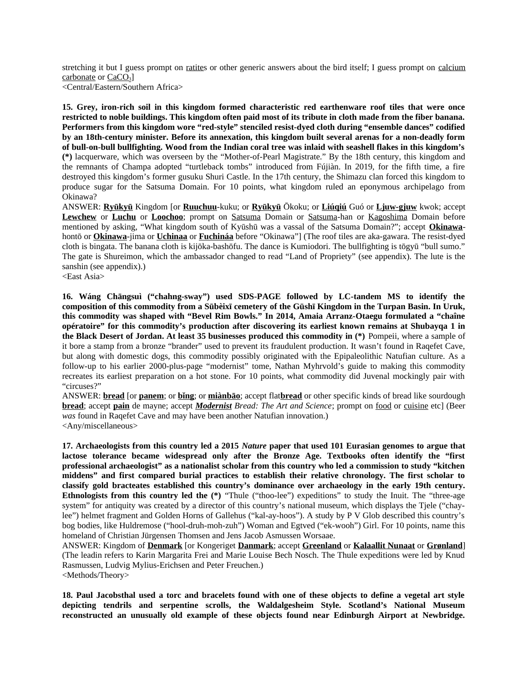stretching it but I guess prompt on ratites or other generic answers about the bird itself; I guess prompt on calcium carbonate or CaCO<sub>3</sub>

<Central/Eastern/Southern Africa>

**15. Grey, iron-rich soil in this kingdom formed characteristic red earthenware roof tiles that were once restricted to noble buildings. This kingdom often paid most of its tribute in cloth made from the fiber banana. Performers from this kingdom wore "red-style" stenciled resist-dyed cloth during "ensemble dances" codified by an 18th-century minister. Before its annexation, this kingdom built several arenas for a non-deadly form of bull-on-bull bullfighting. Wood from the Indian coral tree was inlaid with seashell flakes in this kingdom's (\*)** lacquerware, which was overseen by the "Mother-of-Pearl Magistrate." By the 18th century, this kingdom and the remnants of Champa adopted "turtleback tombs" introduced from Fújiàn. In 2019, for the fifth time, a fire destroyed this kingdom's former gusuku Shuri Castle. In the 17th century, the Shimazu clan forced this kingdom to produce sugar for the Satsuma Domain. For 10 points, what kingdom ruled an eponymous archipelago from Okinawa?

ANSWER: **Ryūkyū** Kingdom [or **Ruuchuu**-kuku; or **Ryūkyū** Ōkoku; or **Liúqiú** Guó or **Ljuw-gjuw** kwok; accept **Lewchew** or **Luchu** or **Loochoo**; prompt on Satsuma Domain or Satsuma-han or Kagoshima Domain before mentioned by asking, "What kingdom south of Kyūshū was a vassal of the Satsuma Domain?"; accept **Okinawa**hontō or **Okinawa**-jima or **Uchinaa** or **Fuchináa** before "Okinawa"] (The roof tiles are aka-gawara. The resist-dyed cloth is bingata. The banana cloth is kijōka-bashōfu. The dance is Kumiodori. The bullfighting is tōgyū "bull sumo." The gate is Shureimon, which the ambassador changed to read "Land of Propriety" (see appendix). The lute is the sanshin (see appendix).)

<East Asia>

**16. Wáng Chāngsuì ("chahng-sway") used SDS-PAGE followed by LC-tandem MS to identify the composition of this commodity from a Sūbèixī cemetery of the Gūshī Kingdom in the Turpan Basin. In Uruk, this commodity was shaped with "Bevel Rim Bowls." In 2014, Amaia Arranz-Otaegu formulated a "chaîne opératoire" for this commodity's production after discovering its earliest known remains at Shubayqa 1 in the Black Desert of Jordan. At least 35 businesses produced this commodity in (\*)** Pompeii, where a sample of it bore a stamp from a bronze "brander" used to prevent its fraudulent production. It wasn't found in Raqefet Cave, but along with domestic dogs, this commodity possibly originated with the Epipaleolithic Natufian culture. As a follow-up to his earlier 2000-plus-page "modernist" tome, Nathan Myhrvold's guide to making this commodity recreates its earliest preparation on a hot stone. For 10 points, what commodity did Juvenal mockingly pair with "circuses?"

ANSWER: **bread** [or **panem**; or **bǐng**; or **miànbāo**; accept flat**bread** or other specific kinds of bread like sourdough **bread**; accept **pain** de mayne; accept *Modernist Bread: The Art and Science*; prompt on food or cuisine etc] (Beer *was* found in Raqefet Cave and may have been another Natufian innovation.) <Any/miscellaneous>

**17. Archaeologists from this country led a 2015** *Nature* **paper that used 101 Eurasian genomes to argue that lactose tolerance became widespread only after the Bronze Age. Textbooks often identify the "first professional archaeologist" as a nationalist scholar from this country who led a commission to study "kitchen middens" and first compared burial practices to establish their relative chronology. The first scholar to classify gold bracteates established this country's dominance over archaeology in the early 19th century. Ethnologists from this country led the (\*)** "Thule ("thoo-lee") expeditions" to study the Inuit. The "three-age system" for antiquity was created by a director of this country's national museum, which displays the Tjele ("chaylee") helmet fragment and Golden Horns of Gallehus ("kal-ay-hoos"). A study by P V Glob described this country's bog bodies, like Huldremose ("hool-druh-moh-zuh") Woman and Egtved ("ek-wooh") Girl. For 10 points, name this homeland of Christian Jürgensen Thomsen and Jens Jacob Asmussen Worsaae.

ANSWER: Kingdom of **Denmark** [or Kongeriget **Danmark**; accept **Greenland** or **Kalaallit Nunaat** or **Grønland**] (The leadin refers to Karin Margarita Frei and Marie Louise Bech Nosch. The Thule expeditions were led by Knud Rasmussen, Ludvig Mylius-Erichsen and Peter Freuchen.) <Methods/Theory>

**18. Paul Jacobsthal used a torc and bracelets found with one of these objects to define a vegetal art style depicting tendrils and serpentine scrolls, the Waldalgesheim Style. Scotland's National Museum reconstructed an unusually old example of these objects found near Edinburgh Airport at Newbridge.**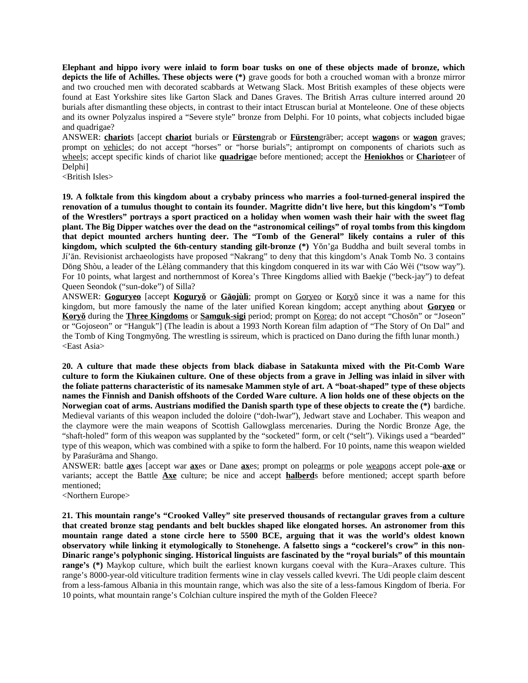**Elephant and hippo ivory were inlaid to form boar tusks on one of these objects made of bronze, which depicts the life of Achilles. These objects were (\*)** grave goods for both a crouched woman with a bronze mirror and two crouched men with decorated scabbards at Wetwang Slack. Most British examples of these objects were found at East Yorkshire sites like Garton Slack and Danes Graves. The British Arras culture interred around 20 burials after dismantling these objects, in contrast to their intact Etruscan burial at Monteleone. One of these objects and its owner Polyzalus inspired a "Severe style" bronze from Delphi. For 10 points, what cobjects included bigae and quadrigae?

ANSWER: **chariot**s [accept **chariot** burials or **Fürsten**grab or **Fürsten**gräber; accept **wagon**s or **wagon** graves; prompt on vehicles; do not accept "horses" or "horse burials"; antiprompt on components of chariots such as wheels; accept specific kinds of chariot like **quadriga**e before mentioned; accept the **Heniokhos** or **Chariot**eer of Delphi]

<British Isles>

**19. A folktale from this kingdom about a crybaby princess who marries a fool-turned-general inspired the renovation of a tumulus thought to contain its founder. Magritte didn't live here, but this kingdom's "Tomb of the Wrestlers" portrays a sport practiced on a holiday when women wash their hair with the sweet flag plant. The Big Dipper watches over the dead on the "astronomical ceilings" of royal tombs from this kingdom that depict mounted archers hunting deer. The "Tomb of the General" likely contains a ruler of this kingdom, which sculpted the 6th-century standing gilt-bronze (\*)** Yŏn'ga Buddha and built several tombs in Jí'ān. Revisionist archaeologists have proposed "Nakrang" to deny that this kingdom's Anak Tomb No. 3 contains Dōng Shòu, a leader of the Lèlàng commandery that this kingdom conquered in its war with Cáo Wèi ("tsow way"). For 10 points, what largest and northernmost of Korea's Three Kingdoms allied with Baekje ("beck-jay") to defeat Queen Seondok ("sun-doke") of Silla?

ANSWER: **Goguryeo** [accept **Koguryŏ** or **Gāojùlì**; prompt on Goryeo or Koryŏ since it was a name for this kingdom, but more famously the name of the later unified Korean kingdom; accept anything about **Goryeo** or **Koryŏ** during the **Three Kingdoms** or **Samguk-sigi** period; prompt on Korea; do not accept "Chosŏn" or "Joseon" or "Gojoseon" or "Hanguk"] (The leadin is about a 1993 North Korean film adaption of "The Story of On Dal" and the Tomb of King Tongmyŏng. The wrestling is ssireum, which is practiced on Dano during the fifth lunar month.) <East Asia>

**20. A culture that made these objects from black diabase in Satakunta mixed with the Pit-Comb Ware culture to form the Kiukainen culture. One of these objects from a grave in Jelling was inlaid in silver with the foliate patterns characteristic of its namesake Mammen style of art. A "boat-shaped" type of these objects names the Finnish and Danish offshoots of the Corded Ware culture. A lion holds one of these objects on the Norwegian coat of arms. Austrians modified the Danish sparth type of these objects to create the (\*)** bardiche. Medieval variants of this weapon included the doloire ("doh-lwar"), Jedwart stave and Lochaber. This weapon and the claymore were the main weapons of Scottish Gallowglass mercenaries. During the Nordic Bronze Age, the "shaft-holed" form of this weapon was supplanted by the "socketed" form, or celt ("selt"). Vikings used a "bearded" type of this weapon, which was combined with a spike to form the halberd. For 10 points, name this weapon wielded by Paraśurāma and Shango.

ANSWER: battle **ax**es [accept war **ax**es or Dane **ax**es; prompt on polearms or pole weapons accept pole-**axe** or variants; accept the Battle **Axe** culture; be nice and accept **halberd**s before mentioned; accept sparth before mentioned;

<Northern Europe>

**21. This mountain range's "Crooked Valley" site preserved thousands of rectangular graves from a culture that created bronze stag pendants and belt buckles shaped like elongated horses. An astronomer from this mountain range dated a stone circle here to 5500 BCE, arguing that it was the world's oldest known observatory while linking it etymologically to Stonehenge. A falsetto sings a "cockerel's crow" in this non-Dinaric range's polyphonic singing. Historical linguists are fascinated by the "royal burials" of this mountain range's (\*)** Maykop culture, which built the earliest known kurgans coeval with the Kura–Araxes culture. This range's 8000-year-old viticulture tradition ferments wine in clay vessels called kvevri. The Udi people claim descent from a less-famous Albania in this mountain range, which was also the site of a less-famous Kingdom of Iberia. For 10 points, what mountain range's Colchian culture inspired the myth of the Golden Fleece?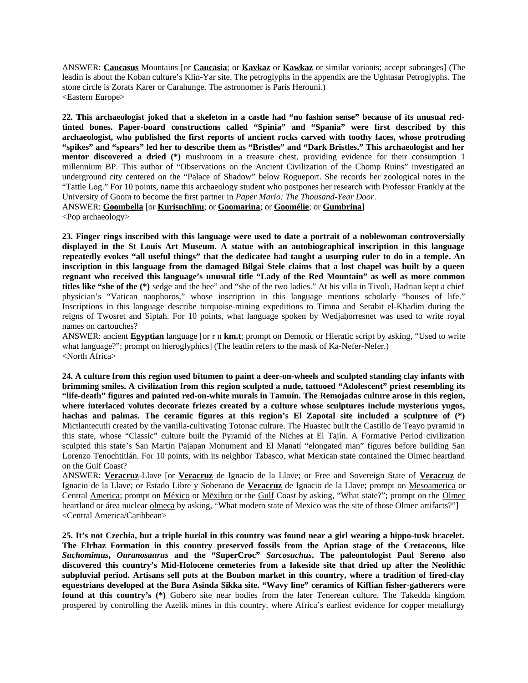ANSWER: **Caucasus** Mountains [or **Caucasia**; or **Kavkaz** or **Kawkaz** or similar variants; accept subranges] (The leadin is about the Koban culture's Klin-Yar site. The petroglyphs in the appendix are the Ughtasar Petroglyphs. The stone circle is Zorats Karer or Carahunge. The astronomer is Paris Herouni.) <Eastern Europe>

**22. This archaeologist joked that a skeleton in a castle had "no fashion sense" because of its unusual redtinted bones. Paper-board constructions called "Spinia" and "Spania" were first described by this archaeologist, who published the first reports of ancient rocks carved with toothy faces, whose protruding "spikes" and "spears" led her to describe them as "Bristles" and "Dark Bristles." This archaeologist and her mentor discovered a dried (\*)** mushroom in a treasure chest, providing evidence for their consumption 1 millennium BP. This author of "Observations on the Ancient Civilization of the Chomp Ruins" investigated an underground city centered on the "Palace of Shadow" below Rogueport. She records her zoological notes in the "Tattle Log." For 10 points, name this archaeology student who postpones her research with Professor Frankly at the University of Goom to become the first partner in *Paper Mario: The Thousand-Year Door*. ANSWER: **Goombella** [or **Kurisuchīnu**; or **Goomarina**; or **Goomélie**; or **Gumbrina**] <Pop archaeology>

**23. Finger rings inscribed with this language were used to date a portrait of a noblewoman controversially displayed in the St Louis Art Museum. A statue with an autobiographical inscription in this language repeatedly evokes "all useful things" that the dedicatee had taught a usurping ruler to do in a temple. An inscription in this language from the damaged Bilgai Stele claims that a lost chapel was built by a queen regnant who received this language's unusual title "Lady of the Red Mountain" as well as more common titles like "she of the (\*)** sedge and the bee" and "she of the two ladies." At his villa in Tivoli, Hadrian kept a chief physician's "Vatican naophoros," whose inscription in this language mentions scholarly "houses of life." Inscriptions in this language describe turquoise-mining expeditions to Timna and Serabit el-Khadim during the reigns of Twosret and Siptah. For 10 points, what language spoken by Wedjahorresnet was used to write royal names on cartouches?

ANSWER: ancient **Egyptian** language [or r n **km.t**; prompt on Demotic or Hieratic script by asking, "Used to write what language?"; prompt on hieroglyphics] (The leadin refers to the mask of Ka-Nefer-Nefer.) <North Africa>

**24. A culture from this region used bitumen to paint a deer-on-wheels and sculpted standing clay infants with brimming smiles. A civilization from this region sculpted a nude, tattooed "Adolescent" priest resembling its "life-death" figures and painted red-on-white murals in Tamuín. The Remojadas culture arose in this region, where interlaced volutes decorate friezes created by a culture whose sculptures include mysterious yugos, hachas and palmas. The ceramic figures at this region's El Zapotal site included a sculpture of (\*)** Mictlantecutli created by the vanilla-cultivating Totonac culture. The Huastec built the Castillo de Teayo pyramid in this state, whose "Classic" culture built the Pyramid of the Niches at El Tajín. A Formative Period civilization sculpted this state's San Martín Pajapan Monument and El Manatí "elongated man" figures before building San Lorenzo Tenochtitlán. For 10 points, with its neighbor Tabasco, what Mexican state contained the Olmec heartland on the Gulf Coast?

ANSWER: **Veracruz**-Llave [or **Veracruz** de Ignacio de la Llave; or Free and Sovereign State of **Veracruz** de Ignacio de la Llave; or Estado Libre y Soberano de **Veracruz** de Ignacio de la Llave; prompt on Mesoamerica or Central America; prompt on México or Mēxihco or the Gulf Coast by asking, "What state?"; prompt on the Olmec heartland or área nuclear olmeca by asking, "What modern state of Mexico was the site of those Olmec artifacts?"] <Central America/Caribbean>

**25. It's not Czechia, but a triple burial in this country was found near a girl wearing a hippo-tusk bracelet. The Elrhaz Formation in this country preserved fossils from the Aptian stage of the Cretaceous, like** *Suchomimus***,** *Ouranosaurus* **and the "SuperCroc"** *Sarcosuchus***. The paleontologist Paul Sereno also discovered this country's Mid-Holocene cemeteries from a lakeside site that dried up after the Neolithic subpluvial period. Artisans sell pots at the Boubon market in this country, where a tradition of fired-clay equestrians developed at the Bura Asinda Sikka site. "Wavy line" ceramics of Kiffian fisher-gatherers were found at this country's (\*)** Gobero site near bodies from the later Tenerean culture. The Takedda kingdom prospered by controlling the Azelik mines in this country, where Africa's earliest evidence for copper metallurgy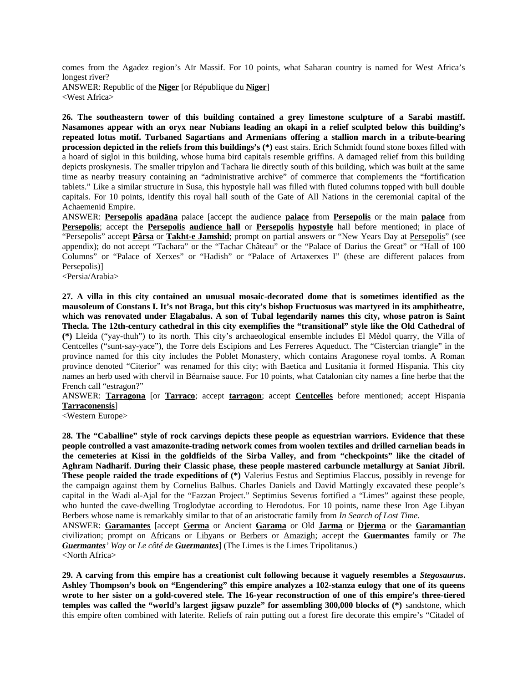comes from the Agadez region's Aïr Massif. For 10 points, what Saharan country is named for West Africa's longest river?

ANSWER: Republic of the **Niger** [or République du **Niger**] <West Africa>

**26. The southeastern tower of this building contained a grey limestone sculpture of a Sarabi mastiff. Nasamones appear with an oryx near Nubians leading an okapi in a relief sculpted below this building's repeated lotus motif. Turbaned Sagartians and Armenians offering a stallion march in a tribute-bearing procession depicted in the reliefs from this buildings's (\*)** east stairs. Erich Schmidt found stone boxes filled with a hoard of sigloi in this building, whose huma bird capitals resemble griffins. A damaged relief from this building depicts proskynesis. The smaller tripylon and Tachara lie directly south of this building, which was built at the same time as nearby treasury containing an "administrative archive" of commerce that complements the "fortification tablets." Like a similar structure in Susa, this hypostyle hall was filled with fluted columns topped with bull double capitals. For 10 points, identify this royal hall south of the Gate of All Nations in the ceremonial capital of the Achaemenid Empire.

ANSWER: **Persepolis apadāna** palace [accept the audience **palace** from **Persepolis** or the main **palace** from **Persepolis**; accept the **Persepolis audience hall** or **Persepolis hypostyle** hall before mentioned; in place of "Persepolis" accept **Pârsa** or **Takht-e Jamshid**; prompt on partial answers or "New Years Day at Persepolis" (see appendix); do not accept "Tachara" or the "Tachar Château" or the "Palace of Darius the Great" or "Hall of 100 Columns" or "Palace of Xerxes" or "Hadish" or "Palace of Artaxerxes I" (these are different palaces from Persepolis)]

<Persia/Arabia>

**27. A villa in this city contained an unusual mosaic-decorated dome that is sometimes identified as the mausoleum of Constans I. It's not Braga, but this city's bishop Fructuosus was martyred in its amphitheatre, which was renovated under Elagabalus. A son of Tubal legendarily names this city, whose patron is Saint Thecla. The 12th-century cathedral in this city exemplifies the "transitional" style like the Old Cathedral of (\*)** Lleida ("yay-thuh") to its north. This city's archaeological ensemble includes El Mèdol quarry, the Villa of Centcelles ("sunt-say-yace"), the Torre dels Escipions and Les Ferreres Aqueduct. The "Cistercian triangle" in the province named for this city includes the Poblet Monastery, which contains Aragonese royal tombs. A Roman province denoted "Citerior" was renamed for this city; with Baetica and Lusitania it formed Hispania. This city names an herb used with chervil in Béarnaise sauce. For 10 points, what Catalonian city names a fine herbe that the French call "estragon?"

ANSWER: **Tarragona** [or **Tarraco**; accept **tarragon**; accept **Centcelles** before mentioned; accept Hispania **Tarraconensis**]

<Western Europe>

**28. The "Caballine" style of rock carvings depicts these people as equestrian warriors. Evidence that these people controlled a vast amazonite-trading network comes from woolen textiles and drilled carnelian beads in the cemeteries at Kissi in the goldfields of the Sirba Valley, and from "checkpoints" like the citadel of Aghram Nadharif. During their Classic phase, these people mastered carbuncle metallurgy at Saniat Jibril. These people raided the trade expeditions of (\*)** Valerius Festus and Septimius Flaccus, possibly in revenge for the campaign against them by Cornelius Balbus. Charles Daniels and David Mattingly excavated these people's capital in the Wadi al-Ajal for the "Fazzan Project." Septimius Severus fortified a "Limes" against these people, who hunted the cave-dwelling Troglodytae according to Herodotus. For 10 points, name these Iron Age Libyan Berbers whose name is remarkably similar to that of an aristocratic family from *In Search of Lost Time*. ANSWER: **Garamantes** [accept **Germa** or Ancient **Garama** or Old **Jarma** or **Djerma** or the **Garamantian**

civilization; prompt on Africans or Libyans or Berbers or Amazigh; accept the **Guermantes** family or *The Guermantes' Way* or *Le côté de Guermantes*] (The Limes is the Limes Tripolitanus.) <North Africa>

**29. A carving from this empire has a creationist cult following because it vaguely resembles a** *Stegosaurus***. Ashley Thompson's book on "Engendering" this empire analyzes a 102-stanza eulogy that one of its queens wrote to her sister on a gold-covered stele. The 16-year reconstruction of one of this empire's three-tiered temples was called the "world's largest jigsaw puzzle" for assembling 300,000 blocks of (\*)** sandstone, which this empire often combined with laterite. Reliefs of rain putting out a forest fire decorate this empire's "Citadel of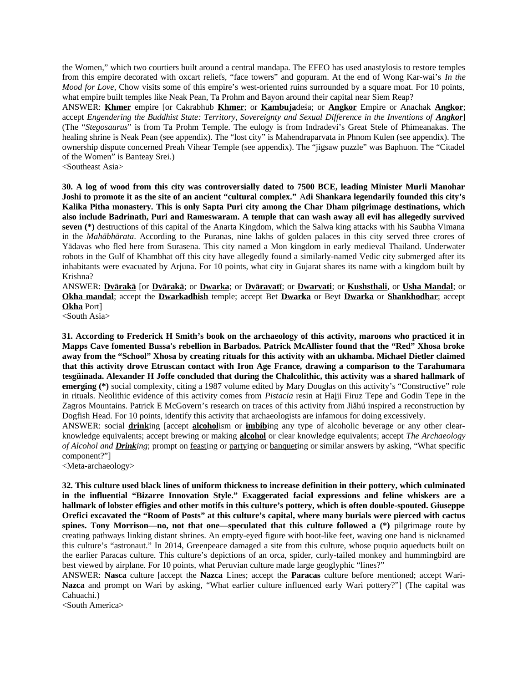the Women," which two courtiers built around a central mandapa. The EFEO has used anastylosis to restore temples from this empire decorated with oxcart reliefs, "face towers" and gopuram. At the end of Wong Kar-wai's *In the Mood for Love*, Chow visits some of this empire's west-oriented ruins surrounded by a square moat. For 10 points, what empire built temples like Neak Pean, Ta Prohm and Bayon around their capital near Siem Reap?

ANSWER: **Khmer** empire [or Cakrabhub **Khmer**; or **Kambuja**deśa; or **Angkor** Empire or Anachak **Angkor**; accept *Engendering the Buddhist State: Territory, Sovereignty and Sexual Difference in the Inventions of Angkor]* (The "*Stegosaurus*" is from Ta Prohm Temple. The eulogy is from Indradevi's Great Stele of Phimeanakas. The healing shrine is Neak Pean (see appendix). The "lost city" is Mahendraparvata in Phnom Kulen (see appendix). The ownership dispute concerned Preah Vihear Temple (see appendix). The "jigsaw puzzle" was Baphuon. The "Citadel of the Women" is Banteay Srei.)

<Southeast Asia>

**30. A log of wood from this city was controversially dated to 7500 BCE, leading Minister Murli Manohar Joshi to promote it as the site of an ancient "cultural complex."** A**di Shankara legendarily founded this city's Kalika Pitha monastery. This is only Sapta Puri city among the Char Dham pilgrimage destinations, which also include Badrinath, Puri and Rameswaram. A temple that can wash away all evil has allegedly survived seven (\*)** destructions of this capital of the Anarta Kingdom, which the Salwa king attacks with his Saubha Vimana in the *Mahābhārata*. According to the Puranas, nine lakhs of golden palaces in this city served three crores of Yādavas who fled here from Surasena. This city named a Mon kingdom in early medieval Thailand. Underwater robots in the Gulf of Khambhat off this city have allegedly found a similarly-named Vedic city submerged after its inhabitants were evacuated by Arjuna. For 10 points, what city in Gujarat shares its name with a kingdom built by Krishna?

ANSWER: **Dvārakā** [or **Dvārakā**; or **Dwarka**; or **Dvāravatī**; or **Dwarvati**; or **Kushsthali**, or **Usha Mandal**; or **Okha mandal**; accept the **Dwarkadhish** temple; accept Bet **Dwarka** or Beyt **Dwarka** or **Shankhodhar**; accept **Okha** Port]

<South Asia>

**31. According to Frederick H Smith's book on the archaeology of this activity, maroons who practiced it in Mapps Cave fomented Bussa's rebellion in Barbados. Patrick McAllister found that the "Red" Xhosa broke away from the "School" Xhosa by creating rituals for this activity with an ukhamba. Michael Dietler claimed that this activity drove Etruscan contact with Iron Age France, drawing a comparison to the Tarahumara tesgüinada. Alexander H Joffe concluded that during the Chalcolithic, this activity was a shared hallmark of emerging (\*)** social complexity, citing a 1987 volume edited by Mary Douglas on this activity's "Constructive" role in rituals. Neolithic evidence of this activity comes from *Pistacia* resin at Hajji Firuz Tepe and Godin Tepe in the Zagros Mountains. Patrick E McGovern's research on traces of this activity from Jiǎhú inspired a reconstruction by Dogfish Head. For 10 points, identify this activity that archaeologists are infamous for doing excessively.

ANSWER: social **drink**ing [accept **alcohol**ism or **imbib**ing any type of alcoholic beverage or any other clearknowledge equivalents; accept brewing or making **alcohol** or clear knowledge equivalents; accept *The Archaeology of Alcohol and Drinking*; prompt on feasting or partying or banqueting or similar answers by asking, "What specific component?"]

<Meta-archaeology>

**32. This culture used black lines of uniform thickness to increase definition in their pottery, which culminated in the influential "Bizarre Innovation Style." Exaggerated facial expressions and feline whiskers are a hallmark of lobster effigies and other motifs in this culture's pottery, which is often double-spouted. Giuseppe Orefici excavated the "Room of Posts" at this culture's capital, where many burials were pierced with cactus spines. Tony Morrison—no, not that one—speculated that this culture followed a (\*)** pilgrimage route by creating pathways linking distant shrines. An empty-eyed figure with boot-like feet, waving one hand is nicknamed this culture's "astronaut." In 2014, Greenpeace damaged a site from this culture, whose puquio aqueducts built on the earlier Paracas culture. This culture's depictions of an orca, spider, curly-tailed monkey and hummingbird are best viewed by airplane. For 10 points, what Peruvian culture made large geoglyphic "lines?"

ANSWER: **Nasca** culture [accept the **Nazca** Lines; accept the **Paracas** culture before mentioned; accept Wari-**Nazca** and prompt on Wari by asking, "What earlier culture influenced early Wari pottery?"] (The capital was Cahuachi.)

<South America>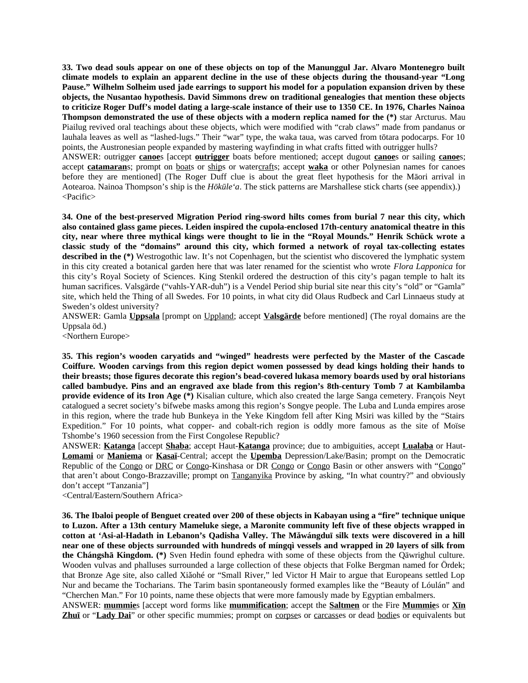**33. Two dead souls appear on one of these objects on top of the Manunggul Jar. Alvaro Montenegro built climate models to explain an apparent decline in the use of these objects during the thousand-year "Long Pause." Wilhelm Solheim used jade earrings to support his model for a population expansion driven by these objects, the Nusantao hypothesis. David Simmons drew on traditional genealogies that mention these objects to criticize Roger Duff's model dating a large-scale instance of their use to 1350 CE. In 1976, Charles Nainoa Thompson demonstrated the use of these objects with a modern replica named for the (\*)** star Arcturus. Mau Piailug revived oral teachings about these objects, which were modified with "crab claws" made from pandanus or lauhala leaves as well as "lashed-lugs." Their "war" type, the waka taua, was carved from tōtara podocarps. For 10 points, the Austronesian people expanded by mastering wayfinding in what crafts fitted with outrigger hulls?

ANSWER: outrigger **canoe**s [accept **outrigger** boats before mentioned; accept dugout **canoe**s or sailing **canoe**s; accept **catamaran**s; prompt on **boats** or ships or watercrafts; accept **waka** or other Polynesian names for canoes before they are mentioned] (The Roger Duff clue is about the great fleet hypothesis for the Māori arrival in Aotearoa. Nainoa Thompson's ship is the *Hōkūleʻa*. The stick patterns are Marshallese stick charts (see appendix).) <Pacific>

**34. One of the best-preserved Migration Period ring-sword hilts comes from burial 7 near this city, which also contained glass game pieces. Leiden inspired the cupola-enclosed 17th-century anatomical theatre in this city, near where three mythical kings were thought to lie in the "Royal Mounds." Henrik Schück wrote a classic study of the "domains" around this city, which formed a network of royal tax-collecting estates described in the (\*)** Westrogothic law. It's not Copenhagen, but the scientist who discovered the lymphatic system in this city created a botanical garden here that was later renamed for the scientist who wrote *Flora Lapponica* for this city's Royal Society of Sciences. King Stenkil ordered the destruction of this city's pagan temple to halt its human sacrifices. Valsgärde ("vahls-YAR-duh") is a Vendel Period ship burial site near this city's "old" or "Gamla" site, which held the Thing of all Swedes. For 10 points, in what city did Olaus Rudbeck and Carl Linnaeus study at Sweden's oldest university?

ANSWER: Gamla **Uppsala** [prompt on Uppland; accept **Valsgärde** before mentioned] (The royal domains are the Uppsala öd.)

<Northern Europe>

**35. This region's wooden caryatids and "winged" headrests were perfected by the Master of the Cascade Coiffure. Wooden carvings from this region depict women possessed by dead kings holding their hands to their breasts; those figures decorate this region's bead-covered lukasa memory boards used by oral historians called bambudye. Pins and an engraved axe blade from this region's 8th-century Tomb 7 at Kambilamba provide evidence of its Iron Age (\*)** Kisalian culture, which also created the large Sanga cemetery. François Neyt catalogued a secret society's bifwebe masks among this region's Songye people. The Luba and Lunda empires arose in this region, where the trade hub Bunkeya in the Yeke Kingdom fell after King Msiri was killed by the "Stairs Expedition." For 10 points, what copper- and cobalt-rich region is oddly more famous as the site of Moïse Tshombe's 1960 secession from the First Congolese Republic?

ANSWER: **Katanga** [accept **Shaba**; accept Haut-**Katanga** province; due to ambiguities, accept **Lualaba** or Haut-**Lomami** or **Maniema** or **Kasaï**-Central; accept the **Upemba** Depression/Lake/Basin; prompt on the Democratic Republic of the Congo or DRC or Congo-Kinshasa or DR Congo or Congo Basin or other answers with "Congo" that aren't about Congo-Brazzaville; prompt on Tanganyika Province by asking, "In what country?" and obviously don't accept "Tanzania"]

<Central/Eastern/Southern Africa>

**36. The Ibaloi people of Benguet created over 200 of these objects in Kabayan using a "fire" technique unique to Luzon. After a 13th century Mameluke siege, a Maronite community left five of these objects wrapped in cotton at 'Asi-al-Hadath in Lebanon's Qadisha Valley. The Mǎwángduī silk texts were discovered in a hill near one of these objects surrounded with hundreds of míngqì vessels and wrapped in 20 layers of silk from the Chángshā Kingdom. (\*)** Sven Hedin found ephedra with some of these objects from the Qäwrighul culture. Wooden vulvas and phalluses surrounded a large collection of these objects that Folke Bergman named for Ördek; that Bronze Age site, also called Xiǎohé or "Small River," led Victor H Mair to argue that Europeans settled Lop Nur and became the Tocharians. The Tarim basin spontaneously formed examples like the "Beauty of Lóulán" and "Cherchen Man." For 10 points, name these objects that were more famously made by Egyptian embalmers.

ANSWER: **mummie**s [accept word forms like **mummification**; accept the **Saltmen** or the Fire **Mummie**s or **Xīn Zhuī** or "**Lady Dai**" or other specific mummies; prompt on corpses or carcasses or dead bodies or equivalents but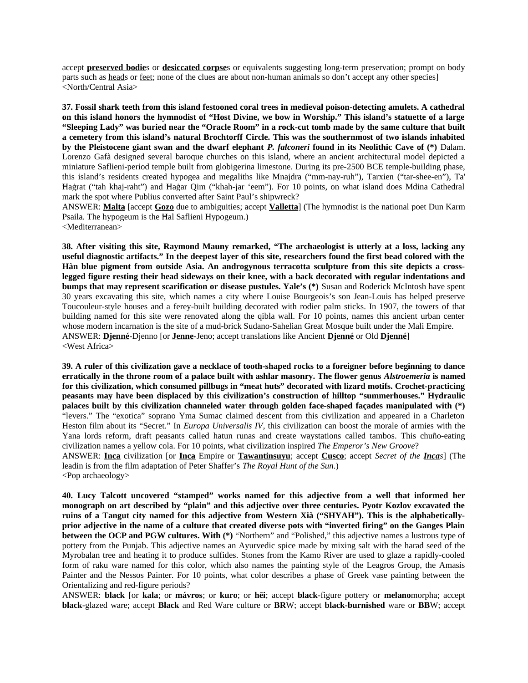accept **preserved bodie**s or **desiccated corpse**s or equivalents suggesting long-term preservation; prompt on body parts such as heads or feet; none of the clues are about non-human animals so don't accept any other species] <North/Central Asia>

**37. Fossil shark teeth from this island festooned coral trees in medieval poison-detecting amulets. A cathedral on this island honors the hymnodist of "Host Divine, we bow in Worship." This island's statuette of a large "Sleeping Lady" was buried near the "Oracle Room" in a rock-cut tomb made by the same culture that built a cemetery from this island's natural Brochtorff Circle. This was the southernmost of two islands inhabited by the Pleistocene giant swan and the dwarf elephant** *P. falconeri* **found in its Neolithic Cave of (\*)** Dalam. Lorenzo Gafà designed several baroque churches on this island, where an ancient architectural model depicted a miniature Saflieni-period temple built from globigerina limestone. During its pre-2500 BCE temple-building phase, this island's residents created hypogea and megaliths like Mnajdra ("mm-nay-ruh"), Tarxien ("tar-shee-en"), Ta' Ħaġrat ("tah khaj-raht") and Ħaġar Qim ("khah-jar 'eem"). For 10 points, on what island does Mdina Cathedral mark the spot where Publius converted after Saint Paul's shipwreck?

ANSWER: **Malta** [accept **Gozo** due to ambiguities; accept **Valletta**] (The hymnodist is the national poet Dun Karm Psaila. The hypogeum is the Ħal Saflieni Hypogeum.)

<Mediterranean>

**38. After visiting this site, Raymond Mauny remarked, "The archaeologist is utterly at a loss, lacking any useful diagnostic artifacts." In the deepest layer of this site, researchers found the first bead colored with the Hàn blue pigment from outside Asia. An androgynous terracotta sculpture from this site depicts a crosslegged figure resting their head sideways on their knee, with a back decorated with regular indentations and bumps that may represent scarification or disease pustules. Yale's (\*)** Susan and Roderick McIntosh have spent 30 years excavating this site, which names a city where Louise Bourgeois's son Jean-Louis has helped preserve Toucouleur-style houses and a ferey-built building decorated with rodier palm sticks. In 1907, the towers of that building named for this site were renovated along the qibla wall. For 10 points, names this ancient urban center whose modern incarnation is the site of a mud-brick Sudano-Sahelian Great Mosque built under the Mali Empire. ANSWER: **Djenné**-Djenno [or **Jenne**-Jeno; accept translations like Ancient **Djenné** or Old **Djenné**] <West Africa>

**39. A ruler of this civilization gave a necklace of tooth-shaped rocks to a foreigner before beginning to dance erratically in the throne room of a palace built with ashlar masonry. The flower genus** *Alstroemeria* **is named for this civilization, which consumed pillbugs in "meat huts" decorated with lizard motifs. Crochet-practicing peasants may have been displaced by this civilization's construction of hilltop "summerhouses." Hydraulic palaces built by this civilization channeled water through golden face-shaped façades manipulated with (\*)** "levers." The "exotica" soprano Yma Sumac claimed descent from this civilization and appeared in a Charleton Heston film about its "Secret." In *Europa Universalis IV*, this civilization can boost the morale of armies with the Yana lords reform, draft peasants called hatun runas and create waystations called tambos. This chuño-eating civilization names a yellow cola. For 10 points, what civilization inspired *The Emperor's New Groove*? ANSWER: **Inca** civilization [or **Inca** Empire or **Tawantinsuyu**; accept **Cusco**; accept *Secret of the Incas*] (The leadin is from the film adaptation of Peter Shaffer's *The Royal Hunt of the Sun*.) <Pop archaeology>

**40. Lucy Talcott uncovered "stamped" works named for this adjective from a well that informed her monograph on art described by "plain" and this adjective over three centuries. Pyotr Kozlov excavated the ruins of a Tangut city named for this adjective from Western Xià ("SHYAH"). This is the alphabeticallyprior adjective in the name of a culture that created diverse pots with "inverted firing" on the Ganges Plain between the OCP and PGW cultures. With (\*)** "Northern" and "Polished," this adjective names a lustrous type of pottery from the Punjab. This adjective names an Ayurvedic spice made by mixing salt with the harad seed of the Myrobalan tree and heating it to produce sulfides. Stones from the Kamo River are used to glaze a rapidly-cooled form of raku ware named for this color, which also names the painting style of the Leagros Group, the Amasis Painter and the Nessos Painter. For 10 points, what color describes a phase of Greek vase painting between the Orientalizing and red-figure periods?

ANSWER: **black** [or **kala**; or **mávros**; or **kuro**; or **hēi**; accept **black**-figure pottery or **melano**morpha; accept **black**-glazed ware; accept **Black** and Red Ware culture or **BR**W; accept **black-burnished** ware or **BB**W; accept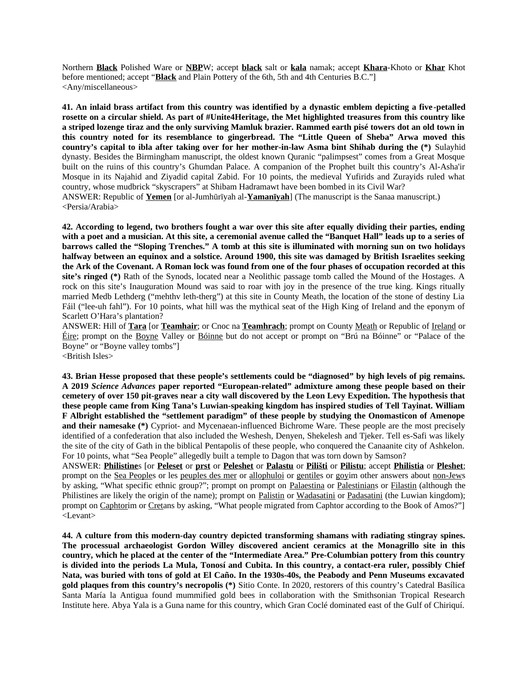Northern **Black** Polished Ware or **NBP**W; accept **black** salt or **kala** namak; accept **Khara**-Khoto or **Khar** Khot before mentioned; accept "**Black** and Plain Pottery of the 6th, 5th and 4th Centuries B.C."] <Any/miscellaneous>

**41. An inlaid brass artifact from this country was identified by a dynastic emblem depicting a five -petalled rosette on a circular shield. As part of #Unite4Heritage, the Met highlighted treasures from this country like a striped lozenge tiraz and the only surviving Mamluk brazier. Rammed earth pisé towers dot an old town in this country noted for its resemblance to gingerbread. The "Little Queen of Sheba" Arwa moved this country's capital to ibla after taking over for her mother-in-law Asma bint Shihab during the (\*)** Sulayhid dynasty. Besides the Birmingham manuscript, the oldest known Quranic "palimpsest" comes from a Great Mosque built on the ruins of this country's Ghumdan Palace. A companion of the Prophet built this country's Al-Asha'ir Mosque in its Najahid and Ziyadid capital Zabid. For 10 points, the medieval Yufirids and Zurayids ruled what country, whose mudbrick "skyscrapers" at Shibam Hadramawt have been bombed in its Civil War? ANSWER: Republic of **Yemen** [or al-Jumhūrīyah al-**Yamanīyah**] (The manuscript is the Sanaa manuscript.) <Persia/Arabia>

**42. According to legend, two brothers fought a war over this site after equally dividing their parties, ending with a poet and a musician. At this site, a ceremonial avenue called the "Banquet Hall" leads up to a series of barrows called the "Sloping Trenches." A tomb at this site is illuminated with morning sun on two holidays halfway between an equinox and a solstice. Around 1900, this site was damaged by British Israelites seeking the Ark of the Covenant. A Roman lock was found from one of the four phases of occupation recorded at this site's ringed (\*)** Rath of the Synods, located near a Neolithic passage tomb called the Mound of the Hostages. A rock on this site's Inauguration Mound was said to roar with joy in the presence of the true king. Kings ritually married Medb Lethderg ("mehthv leth-therg") at this site in County Meath, the location of the stone of destiny Lia Fáil ("lee-uh fahl"). For 10 points, what hill was the mythical seat of the High King of Ireland and the eponym of Scarlett O'Hara's plantation?

ANSWER: Hill of **Tara** [or **Teamhair**; or Cnoc na **Teamhrach**; prompt on County Meath or Republic of Ireland or Éire; prompt on the Boyne Valley or Bóinne but do not accept or prompt on "Brú na Bóinne" or "Palace of the Boyne" or "Boyne valley tombs"] <British Isles>

**43. Brian Hesse proposed that these people's settlements could be "diagnosed" by high levels of pig remains. A 2019** *Science Advances* **paper reported "European-related" admixture among these people based on their cemetery of over 150 pit-graves near a city wall discovered by the Leon Levy Expedition. The hypothesis that these people came from King Tana's Luwian-speaking kingdom has inspired studies of Tell Tayinat. William F Albright established the "settlement paradigm" of these people by studying the Onomasticon of Amenope and their namesake (\*)** Cypriot- and Mycenaean-influenced Bichrome Ware. These people are the most precisely identified of a confederation that also included the Weshesh, Denyen, Shekelesh and Tjeker. Tell es-Safi was likely the site of the city of Gath in the biblical Pentapolis of these people, who conquered the Canaanite city of Ashkelon. For 10 points, what "Sea People" allegedly built a temple to Dagon that was torn down by Samson?

ANSWER: **Philistine**s [or **Peleset** or **prst** or **Peleshet** or **Palastu** or **Pilišti** or **Pilistu**; accept **Philistia** or **Pleshet**; prompt on the Sea Peoples or les peuples des mer or allophuloi or gentiles or goyim other answers about non-Jews by asking, "What specific ethnic group?"; prompt on prompt on Palaestina or Palestinians or Filastin (although the Philistines are likely the origin of the name); prompt on Palistin or Wadasatini or Padasatini (the Luwian kingdom); prompt on Caphtorim or Cretans by asking, "What people migrated from Caphtor according to the Book of Amos?"] <Levant>

**44. A culture from this modern-day country depicted transforming shamans with radiating stingray spines. The processual archaeologist Gordon Willey discovered ancient ceramics at the Monagrillo site in this country, which he placed at the center of the "Intermediate Area." Pre-Columbian pottery from this country is divided into the periods La Mula, Tonosí and Cubita. In this country, a contact-era ruler, possibly Chief Nata, was buried with tons of gold at El Caño. In the 1930s-40s, the Peabody and Penn Museums excavated gold plaques from this country's necropolis (\*)** Sitio Conte. In 2020, restorers of this country's Catedral Basílica Santa María la Antigua found mummified gold bees in collaboration with the Smithsonian Tropical Research Institute here. Abya Yala is a Guna name for this country, which Gran Coclé dominated east of the Gulf of Chiriquí.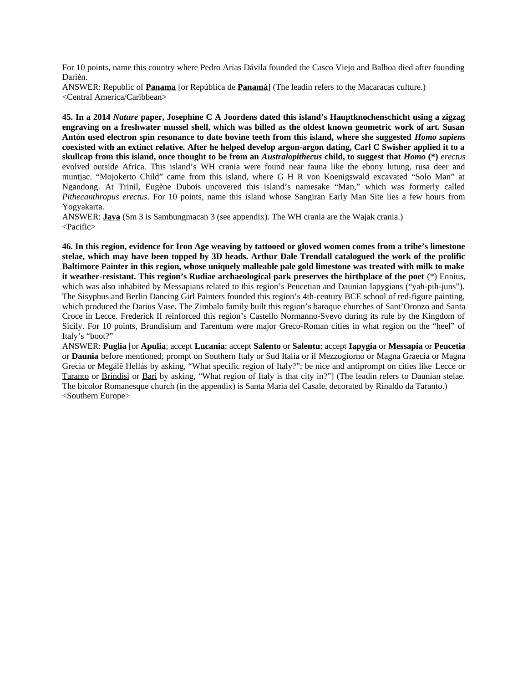For 10 points, name this country where Pedro Arias Dávila founded the Casco Viejo and Balboa died after founding Darién.

ANSWER: Republic of **Panama** [or República de **Panamá**] (The leadin refers to the Macaracas culture.) <Central America/Caribbean>

**45. In a 2014** *Nature* **paper, Josephine C A Joordens dated this island's Hauptknochenschicht using a zigzag engraving on a freshwater mussel shell, which was billed as the oldest known geometric work of art. Susan Antón used electron spin resonance to date bovine teeth from this island, where she suggested** *Homo sapiens* **coexisted with an extinct relative. After he helped develop argon-argon dating, Carl C Swisher applied it to a skullcap from this island, once thought to be from an** *Australopithecus* **child, to suggest that** *Homo* **(\*)** *erectus* evolved outside Africa. This island's WH crania were found near fauna like the ebony lutung, rusa deer and muntjac. "Mojokerto Child" came from this island, where G H R von Koenigswald excavated "Solo Man" at Ngandong. At Trinil, Eugène Dubois uncovered this island's namesake "Man," which was formerly called *Pithecanthropus erectus*. For 10 points, name this island whose Sangiran Early Man Site lies a few hours from Yogyakarta.

ANSWER: **Java** (Sm 3 is Sambungmacan 3 (see appendix). The WH crania are the Wajak crania.) <Pacific>

**46. In this region, evidence for Iron Age weaving by tattooed or gloved women comes from a tribe's limestone stelae, which may have been topped by 3D heads. Arthur Dale Trendall catalogued the work of the prolific Baltimore Painter in this region, whose uniquely malleable pale gold limestone was treated with milk to make it weather-resistant. This region's Rudiae archaeological park preserves the birthplace of the poet** (\*) Ennius, which was also inhabited by Messapians related to this region's Peucetian and Daunian Iapygians ("yah-pih-juns"). The Sisyphus and Berlin Dancing Girl Painters founded this region's 4th-century BCE school of red-figure painting, which produced the Darius Vase. The Zimbalo family built this region's baroque churches of Sant'Oronzo and Santa Croce in Lecce. Frederick II reinforced this region's Castello Normanno-Svevo during its rule by the Kingdom of Sicily. For 10 points, Brundisium and Tarentum were major Greco-Roman cities in what region on the "heel" of Italy's "boot?"

ANSWER: **Puglia** [or **Apulia**; accept **Lucania**; accept **Salento** or **Salentu**; accept **Iapygia** or **Messapia** or **Peucetia** or **Daunia** before mentioned; prompt on Southern *Italy* or Sud *Italia* or il Mezzogiorno or Magna Graecia or Magna Grecia or Megálē Hellás by asking, "What specific region of Italy?"; be nice and antiprompt on cities like Lecce or Taranto or Brindisi or Bari by asking, "What region of Italy is that city in?"] (The leadin refers to Daunian stelae. The bicolor Romanesque church (in the appendix) is Santa Maria del Casale, decorated by Rinaldo da Taranto.) <Southern Europe>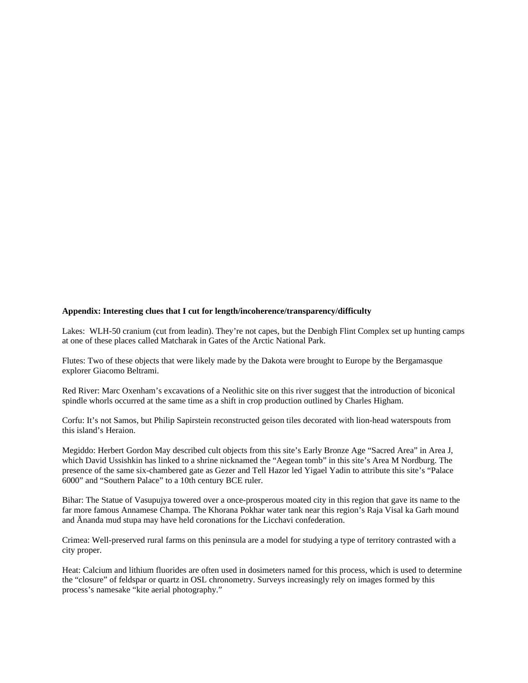## **Appendix: Interesting clues that I cut for length/incoherence/transparency/difficulty**

Lakes: WLH-50 cranium (cut from leadin). They're not capes, but the Denbigh Flint Complex set up hunting camps at one of these places called Matcharak in Gates of the Arctic National Park.

Flutes: Two of these objects that were likely made by the Dakota were brought to Europe by the Bergamasque explorer Giacomo Beltrami.

Red River: Marc Oxenham's excavations of a Neolithic site on this river suggest that the introduction of biconical spindle whorls occurred at the same time as a shift in crop production outlined by Charles Higham.

Corfu: It's not Samos, but Philip Sapirstein reconstructed geison tiles decorated with lion-head waterspouts from this island's Heraion.

Megiddo: Herbert Gordon May described cult objects from this site's Early Bronze Age "Sacred Area" in Area J, which David Ussishkin has linked to a shrine nicknamed the "Aegean tomb" in this site's Area M Nordburg. The presence of the same six-chambered gate as Gezer and Tell Hazor led Yigael Yadin to attribute this site's "Palace 6000" and "Southern Palace" to a 10th century BCE ruler.

Bihar: The Statue of Vasupujya towered over a once-prosperous moated city in this region that gave its name to the far more famous Annamese Champa. The Khorana Pokhar water tank near this region's Raja Visal ka Garh mound and Ānanda mud stupa may have held coronations for the Licchavi confederation.

Crimea: Well-preserved rural farms on this peninsula are a model for studying a type of territory contrasted with a city proper.

Heat: Calcium and lithium fluorides are often used in dosimeters named for this process, which is used to determine the "closure" of feldspar or quartz in OSL chronometry. Surveys increasingly rely on images formed by this process's namesake "kite aerial photography."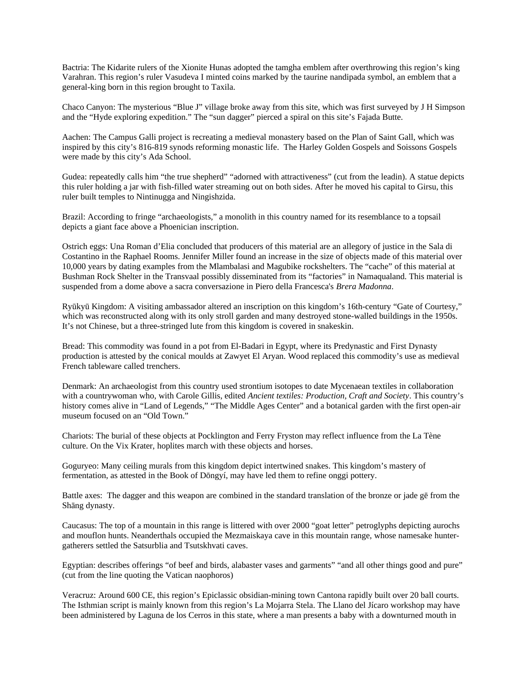Bactria: The Kidarite rulers of the Xionite Hunas adopted the tamgha emblem after overthrowing this region's king Varahran. This region's ruler Vasudeva I minted coins marked by the taurine nandipada symbol, an emblem that a general-king born in this region brought to Taxila.

Chaco Canyon: The mysterious "Blue J" village broke away from this site, which was first surveyed by J H Simpson and the "Hyde exploring expedition." The "sun dagger" pierced a spiral on this site's Fajada Butte.

Aachen: The Campus Galli project is recreating a medieval monastery based on the Plan of Saint Gall, which was inspired by this city's 816-819 synods reforming monastic life. The Harley Golden Gospels and Soissons Gospels were made by this city's Ada School.

Gudea: repeatedly calls him "the true shepherd" "adorned with attractiveness" (cut from the leadin). A statue depicts this ruler holding a jar with fish-filled water streaming out on both sides. After he moved his capital to Girsu, this ruler built temples to Nintinugga and Ningishzida.

Brazil: According to fringe "archaeologists," a monolith in this country named for its resemblance to a topsail depicts a giant face above a Phoenician inscription.

Ostrich eggs: Una Roman d'Elia concluded that producers of this material are an allegory of justice in the Sala di Costantino in the Raphael Rooms. Jennifer Miller found an increase in the size of objects made of this material over 10,000 years by dating examples from the Mlambalasi and Magubike rockshelters. The "cache" of this material at Bushman Rock Shelter in the Transvaal possibly disseminated from its "factories" in Namaqualand. This material is suspended from a dome above a sacra conversazione in Piero della Francesca's *Brera Madonna*.

Ryūkyū Kingdom: A visiting ambassador altered an inscription on this kingdom's 16th-century "Gate of Courtesy," which was reconstructed along with its only stroll garden and many destroyed stone-walled buildings in the 1950s. It's not Chinese, but a three-stringed lute from this kingdom is covered in snakeskin.

Bread: This commodity was found in a pot from El-Badari in Egypt, where its Predynastic and First Dynasty production is attested by the conical moulds at Zawyet El Aryan. Wood replaced this commodity's use as medieval French tableware called trenchers.

Denmark: An archaeologist from this country used strontium isotopes to date Mycenaean textiles in collaboration with a countrywoman who, with Carole Gillis, edited *Ancient textiles: Production, Craft and Society*. This country's history comes alive in "Land of Legends," "The Middle Ages Center" and a botanical garden with the first open-air museum focused on an "Old Town."

Chariots: The burial of these objects at Pocklington and Ferry Fryston may reflect influence from the La Tène culture. On the Vix Krater, hoplites march with these objects and horses.

Goguryeo: Many ceiling murals from this kingdom depict intertwined snakes. This kingdom's mastery of fermentation, as attested in the Book of Dōngyí, may have led them to refine onggi pottery.

Battle axes: The dagger and this weapon are combined in the standard translation of the bronze or jade gē from the Shāng dynasty.

Caucasus: The top of a mountain in this range is littered with over 2000 "goat letter" petroglyphs depicting aurochs and mouflon hunts. Neanderthals occupied the Mezmaiskaya cave in this mountain range, whose namesake huntergatherers settled the Satsurblia and Tsutskhvati caves.

Egyptian: describes offerings "of beef and birds, alabaster vases and garments" "and all other things good and pure" (cut from the line quoting the Vatican naophoros)

Veracruz: Around 600 CE, this region's Epiclassic obsidian-mining town Cantona rapidly built over 20 ball courts. The Isthmian script is mainly known from this region's La Mojarra Stela. The Llano del Jícaro workshop may have been administered by Laguna de los Cerros in this state, where a man presents a baby with a downturned mouth in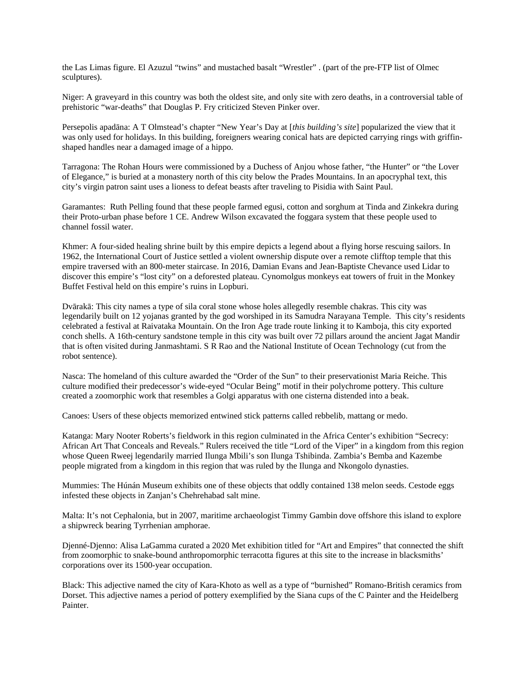the Las Limas figure. El Azuzul "twins" and mustached basalt "Wrestler" . (part of the pre-FTP list of Olmec sculptures).

Niger: A graveyard in this country was both the oldest site, and only site with zero deaths, in a controversial table of prehistoric "war-deaths" that Douglas P. Fry criticized Steven Pinker over.

Persepolis apadāna: A T Olmstead's chapter "New Year's Day at [*this building's site*] popularized the view that it was only used for holidays. In this building, foreigners wearing conical hats are depicted carrying rings with griffinshaped handles near a damaged image of a hippo.

Tarragona: The Rohan Hours were commissioned by a Duchess of Anjou whose father, "the Hunter" or "the Lover of Elegance," is buried at a monastery north of this city below the Prades Mountains. In an apocryphal text, this city's virgin patron saint uses a lioness to defeat beasts after traveling to Pisidia with Saint Paul.

Garamantes: Ruth Pelling found that these people farmed egusi, cotton and sorghum at Tinda and Zinkekra during their Proto-urban phase before 1 CE. Andrew Wilson excavated the foggara system that these people used to channel fossil water.

Khmer: A four-sided healing shrine built by this empire depicts a legend about a flying horse rescuing sailors. In 1962, the International Court of Justice settled a violent ownership dispute over a remote clifftop temple that this empire traversed with an 800-meter staircase. In 2016, Damian Evans and Jean-Baptiste Chevance used Lidar to discover this empire's "lost city" on a deforested plateau. Cynomolgus monkeys eat towers of fruit in the Monkey Buffet Festival held on this empire's ruins in Lopburi.

Dvārakā: This city names a type of sila coral stone whose holes allegedly resemble chakras. This city was legendarily built on 12 yojanas granted by the god worshiped in its Samudra Narayana Temple. This city's residents celebrated a festival at Raivataka Mountain. On the Iron Age trade route linking it to Kamboja, this city exported conch shells. A 16th-century sandstone temple in this city was built over 72 pillars around the ancient Jagat Mandir that is often visited during Janmashtami. S R Rao and the National Institute of Ocean Technology (cut from the robot sentence).

Nasca: The homeland of this culture awarded the "Order of the Sun" to their preservationist Maria Reiche. This culture modified their predecessor's wide-eyed "Ocular Being" motif in their polychrome pottery. This culture created a zoomorphic work that resembles a Golgi apparatus with one cisterna distended into a beak.

Canoes: Users of these objects memorized entwined stick patterns called rebbelib, mattang or medo.

Katanga: Mary Nooter Roberts's fieldwork in this region culminated in the Africa Center's exhibition "Secrecy: African Art That Conceals and Reveals." Rulers received the title "Lord of the Viper" in a kingdom from this region whose Queen Rweej legendarily married Ilunga Mbili's son Ilunga Tshibinda. Zambia's Bemba and Kazembe people migrated from a kingdom in this region that was ruled by the Ilunga and Nkongolo dynasties.

Mummies: The Húnán Museum exhibits one of these objects that oddly contained 138 melon seeds. Cestode eggs infested these objects in Zanjan's Chehrehabad salt mine.

Malta: It's not Cephalonia, but in 2007, maritime archaeologist Timmy Gambin dove offshore this island to explore a shipwreck bearing Tyrrhenian amphorae.

Djenné-Djenno: Alisa LaGamma curated a 2020 Met exhibition titled for "Art and Empires" that connected the shift from zoomorphic to snake-bound anthropomorphic terracotta figures at this site to the increase in blacksmiths' corporations over its 1500-year occupation.

Black: This adjective named the city of Kara-Khoto as well as a type of "burnished" Romano-British ceramics from Dorset. This adjective names a period of pottery exemplified by the Siana cups of the C Painter and the Heidelberg Painter.